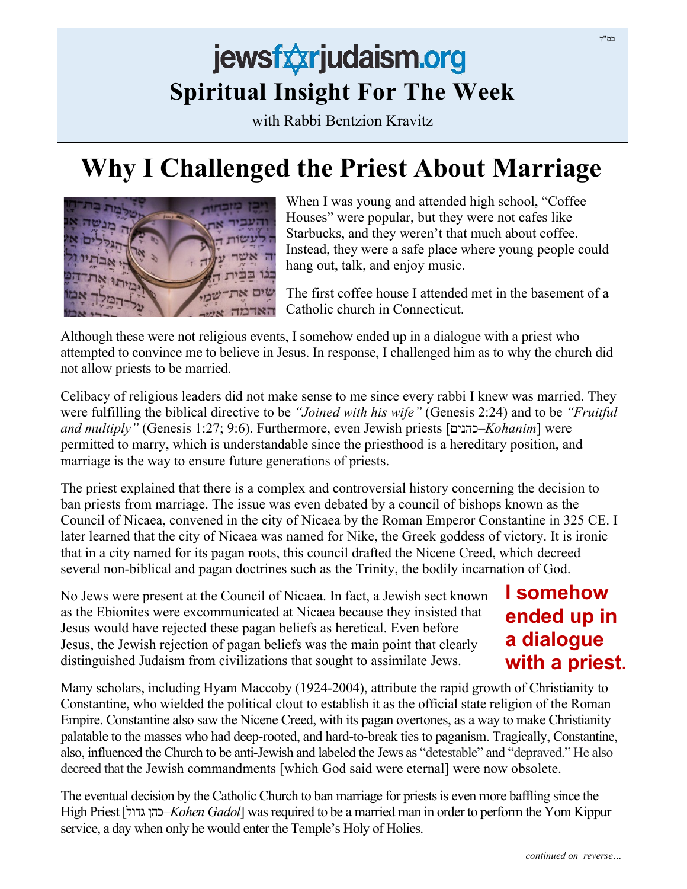## jewsfxxrjudaism.org **Spiritual Insight For The Week**

with Rabbi Bentzion Kravitz

## **Why I Challenged the Priest About Marriage**



When I was young and attended high school, "Coffee Houses" were popular, but they were not cafes like Starbucks, and they weren't that much about coffee. Instead, they were a safe place where young people could hang out, talk, and enjoy music.

The first coffee house I attended met in the basement of a Catholic church in Connecticut.

Although these were not religious events, I somehow ended up in a dialogue with a priest who attempted to convince me to believe in Jesus. In response, I challenged him as to why the church did not allow priests to be married.

Celibacy of religious leaders did not make sense to me since every rabbi I knew was married. They were fulfilling the biblical directive to be *"Joined with his wife"* (Genesis 2:24) and to be *"Fruitful and multiply"* (Genesis 1:27; 9:6). Furthermore, even Jewish priests [כהנים–*Kohanim*] were permitted to marry, which is understandable since the priesthood is a hereditary position, and marriage is the way to ensure future generations of priests.

The priest explained that there is a complex and controversial history concerning the decision to ban priests from marriage. The issue was even debated by a council of bishops known as the Council of Nicaea, convened in the city of Nicaea by the Roman Emperor Constantine in 325 CE. I later learned that the city of Nicaea was named for Nike, the Greek goddess of victory. It is ironic that in a city named for its pagan roots, this council drafted the Nicene Creed, which decreed several non-biblical and pagan doctrines such as the Trinity, the bodily incarnation of God.

No Jews were present at the Council of Nicaea. In fact, a Jewish sect known as the Ebionites were excommunicated at Nicaea because they insisted that Jesus would have rejected these pagan beliefs as heretical. Even before Jesus, the Jewish rejection of pagan beliefs was the main point that clearly distinguished Judaism from civilizations that sought to assimilate Jews.

## **I somehow ended up in a dialogue with a priest.**

Many scholars, including Hyam Maccoby (1924-2004), attribute the rapid growth of Christianity to Constantine, who wielded the political clout to establish it as the official state religion of the Roman Empire. Constantine also saw the Nicene Creed, with its pagan overtones, as a way to make Christianity palatable to the masses who had deep-rooted, and hard-to-break ties to paganism. Tragically, Constantine, also, influenced the Church to be anti-Jewish and labeled the Jews as "detestable" and "depraved." He also decreed that the Jewish commandments [which God said were eternal] were now obsolete.

The eventual decision by the Catholic Church to ban marriage for priests is even more baffling since the High Priest [ גדול כהן–*Kohen Gadol*] was required to be a married man in order to perform the Yom Kippur service, a day when only he would enter the Temple's Holy of Holies.